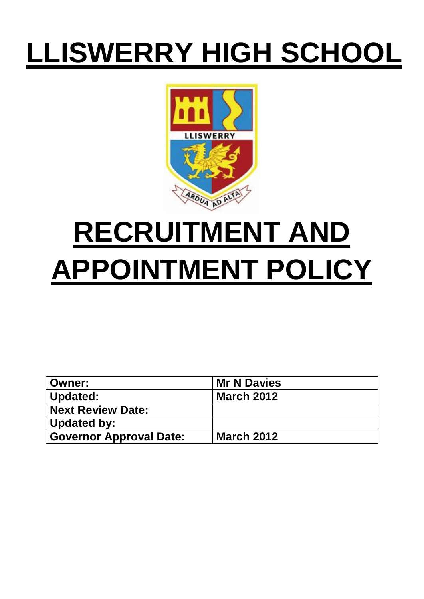# **LLISWERRY HIGH SCHOOL**



# **RECRUITMENT AND APPOINTMENT POLICY**

| <b>Owner:</b>                  | <b>Mr N Davies</b> |
|--------------------------------|--------------------|
| Updated:                       | <b>March 2012</b>  |
| Next Review Date:              |                    |
| Updated by:                    |                    |
| <b>Governor Approval Date:</b> | <b>March 2012</b>  |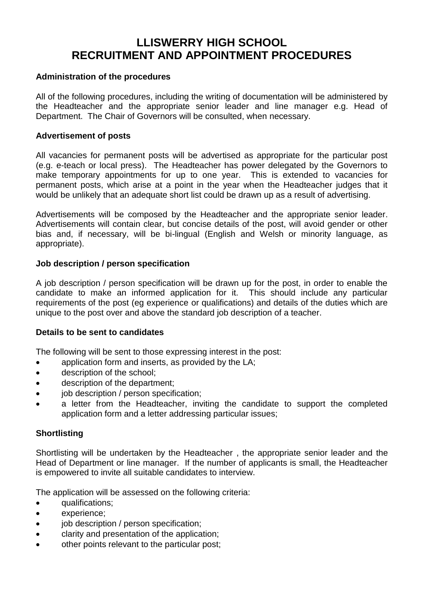# **LLISWERRY HIGH SCHOOL RECRUITMENT AND APPOINTMENT PROCEDURES**

### **Administration of the procedures**

All of the following procedures, including the writing of documentation will be administered by the Headteacher and the appropriate senior leader and line manager e.g. Head of Department. The Chair of Governors will be consulted, when necessary.

#### **Advertisement of posts**

All vacancies for permanent posts will be advertised as appropriate for the particular post (e.g. e-teach or local press). The Headteacher has power delegated by the Governors to make temporary appointments for up to one year. This is extended to vacancies for permanent posts, which arise at a point in the year when the Headteacher judges that it would be unlikely that an adequate short list could be drawn up as a result of advertising.

Advertisements will be composed by the Headteacher and the appropriate senior leader. Advertisements will contain clear, but concise details of the post, will avoid gender or other bias and, if necessary, will be bi-lingual (English and Welsh or minority language, as appropriate).

#### **Job description / person specification**

A job description / person specification will be drawn up for the post, in order to enable the candidate to make an informed application for it. This should include any particular requirements of the post (eg experience or qualifications) and details of the duties which are unique to the post over and above the standard job description of a teacher.

#### **Details to be sent to candidates**

The following will be sent to those expressing interest in the post:

- application form and inserts, as provided by the LA;
- description of the school;
- description of the department;
- $\bullet$  iob description / person specification;
- a letter from the Headteacher, inviting the candidate to support the completed application form and a letter addressing particular issues;

### **Shortlisting**

Shortlisting will be undertaken by the Headteacher , the appropriate senior leader and the Head of Department or line manager. If the number of applicants is small, the Headteacher is empowered to invite all suitable candidates to interview.

The application will be assessed on the following criteria:

- **qualifications:**
- experience;
- job description / person specification;
- clarity and presentation of the application;
- other points relevant to the particular post;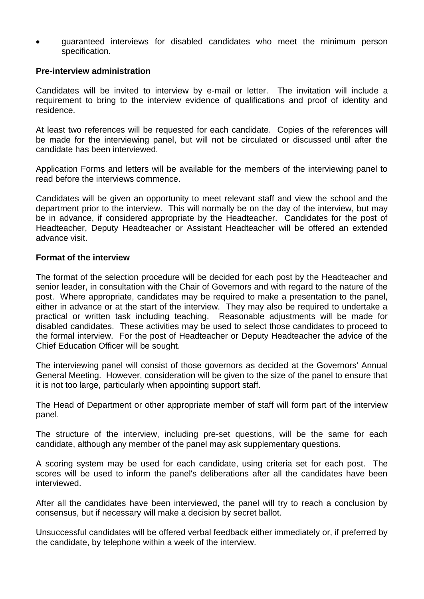guaranteed interviews for disabled candidates who meet the minimum person specification.

#### **Pre-interview administration**

Candidates will be invited to interview by e-mail or letter. The invitation will include a requirement to bring to the interview evidence of qualifications and proof of identity and residence.

At least two references will be requested for each candidate. Copies of the references will be made for the interviewing panel, but will not be circulated or discussed until after the candidate has been interviewed.

Application Forms and letters will be available for the members of the interviewing panel to read before the interviews commence.

Candidates will be given an opportunity to meet relevant staff and view the school and the department prior to the interview. This will normally be on the day of the interview, but may be in advance, if considered appropriate by the Headteacher. Candidates for the post of Headteacher, Deputy Headteacher or Assistant Headteacher will be offered an extended advance visit.

#### **Format of the interview**

The format of the selection procedure will be decided for each post by the Headteacher and senior leader, in consultation with the Chair of Governors and with regard to the nature of the post. Where appropriate, candidates may be required to make a presentation to the panel, either in advance or at the start of the interview. They may also be required to undertake a practical or written task including teaching. Reasonable adjustments will be made for disabled candidates. These activities may be used to select those candidates to proceed to the formal interview. For the post of Headteacher or Deputy Headteacher the advice of the Chief Education Officer will be sought.

The interviewing panel will consist of those governors as decided at the Governors' Annual General Meeting. However, consideration will be given to the size of the panel to ensure that it is not too large, particularly when appointing support staff.

The Head of Department or other appropriate member of staff will form part of the interview panel.

The structure of the interview, including pre-set questions, will be the same for each candidate, although any member of the panel may ask supplementary questions.

A scoring system may be used for each candidate, using criteria set for each post. The scores will be used to inform the panel's deliberations after all the candidates have been interviewed.

After all the candidates have been interviewed, the panel will try to reach a conclusion by consensus, but if necessary will make a decision by secret ballot.

Unsuccessful candidates will be offered verbal feedback either immediately or, if preferred by the candidate, by telephone within a week of the interview.